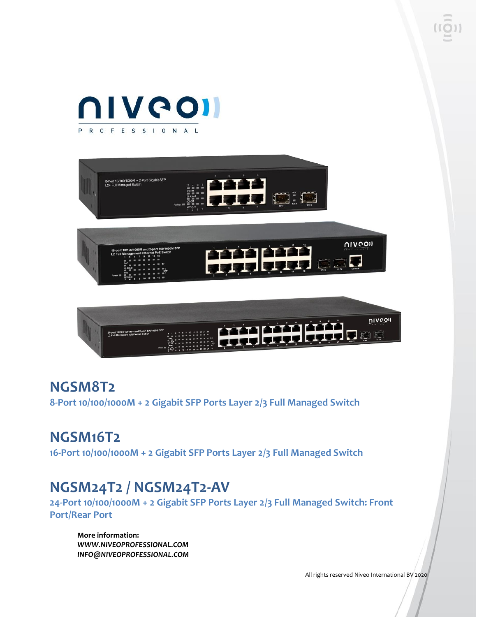



### **NGSM8T2**

**8-Port 10/100/1000M + 2 Gigabit SFP Ports Layer 2/3 Full Managed Switch**

### **NGSM16T2**

**16-Port 10/100/1000M + 2 Gigabit SFP Ports Layer 2/3 Full Managed Switch**

### **NGSM24T2 / NGSM24T2-AV**

**24-Port 10/100/1000M + 2 Gigabit SFP Ports Layer 2/3 Full Managed Switch: Front Port/Rear Port**

**More information:** *WWW.NIVEOPROFESSIONAL.COM INFO@NIVEOPROFESSIONAL.COM*

All rights reserved Niveo International BV 2020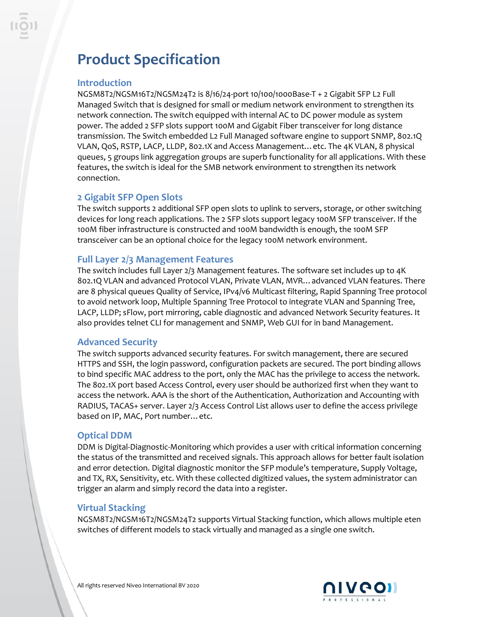## **Product Specification**

#### **Introduction**

NGSM8T2/NGSM16T2/NGSM24T2 is 8/16/24-port 10/100/1000Base-T + 2 Gigabit SFP L2 Full Managed Switch that is designed for small or medium network environment to strengthen its network connection. The switch equipped with internal AC to DC power module as system power. The added 2 SFP slots support 100M and Gigabit Fiber transceiver for long distance transmission. The Switch embedded L2 Full Managed software engine to support SNMP, 802.1Q VLAN, QoS, RSTP, LACP, LLDP, 802.1X and Access Management…etc. The 4K VLAN, 8 physical queues, 5 groups link aggregation groups are superb functionality for all applications. With these features, the switch is ideal for the SMB network environment to strengthen its network connection.

#### **2 Gigabit SFP Open Slots**

The switch supports 2 additional SFP open slots to uplink to servers, storage, or other switching devices for long reach applications. The 2 SFP slots support legacy 100M SFP transceiver. If the 100M fiber infrastructure is constructed and 100M bandwidth is enough, the 100M SFP transceiver can be an optional choice for the legacy 100M network environment.

#### **Full Layer 2/3 Management Features**

The switch includes full Layer 2/3 Management features. The software set includes up to 4K 802.1Q VLAN and advanced Protocol VLAN, Private VLAN, MVR…advanced VLAN features. There are 8 physical queues Quality of Service, IPv4/v6 Multicast filtering, Rapid Spanning Tree protocol to avoid network loop, Multiple Spanning Tree Protocol to integrate VLAN and Spanning Tree, LACP, LLDP; sFlow, port mirroring, cable diagnostic and advanced Network Security features. It also provides telnet CLI for management and SNMP, Web GUI for in band Management.

#### **Advanced Security**

The switch supports advanced security features. For switch management, there are secured HTTPS and SSH, the login password, configuration packets are secured. The port binding allows to bind specific MAC address to the port, only the MAC has the privilege to access the network. The 802.1X port based Access Control, every user should be authorized first when they want to access the network. AAA is the short of the Authentication, Authorization and Accounting with RADIUS, TACAS+ server. Layer 2/3 Access Control List allows user to define the access privilege based on IP, MAC, Port number…etc.

#### **Optical DDM**

DDM is Digital-Diagnostic-Monitoring which provides a user with critical information concerning the status of the transmitted and received signals. This approach allows for better fault isolation and error detection. Digital diagnostic monitor the SFP module's temperature, Supply Voltage, and TX, RX, Sensitivity, etc. With these collected digitized values, the system administrator can trigger an alarm and simply record the data into a register.

#### **Virtual Stacking**

NGSM8T2/NGSM16T2/NGSM24T2 supports Virtual Stacking function, which allows multiple eten switches of different models to stack virtually and managed as a single one switch.

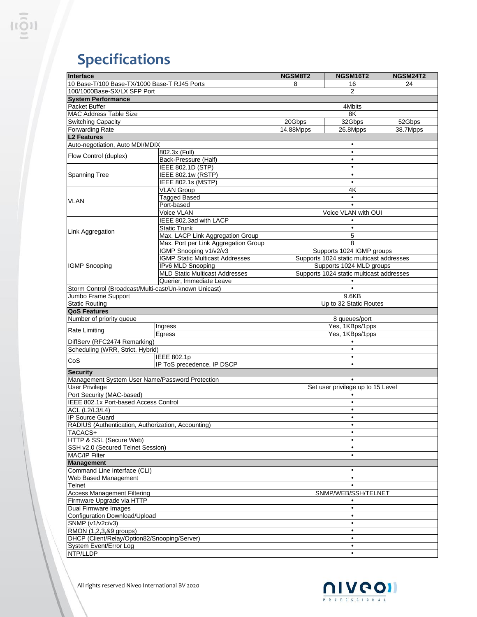# **Specifications**

| Interface                                             |                                        | NGSM8T2                                  | NGSM16T2 | <b>NGSM24T2</b> |
|-------------------------------------------------------|----------------------------------------|------------------------------------------|----------|-----------------|
| 10 Base-T/100 Base-TX/1000 Base-T RJ45 Ports          |                                        | 8                                        | 16       | 24              |
| 100/1000Base-SX/LX SFP Port                           |                                        | $\overline{2}$                           |          |                 |
| <b>System Performance</b>                             |                                        |                                          |          |                 |
| Packet Buffer                                         |                                        | 4Mbits                                   |          |                 |
| <b>MAC Address Table Size</b>                         |                                        | 8K                                       |          |                 |
| <b>Switching Capacity</b>                             |                                        | 20Gbps                                   | 32Gbps   | 52Gbps          |
| <b>Forwarding Rate</b>                                |                                        | 14.88Mpps                                | 26.8Mpps | 38.7Mpps        |
| L <sub>2</sub> Features                               |                                        |                                          |          |                 |
| Auto-negotiation, Auto MDI/MDIX                       |                                        | ٠                                        |          |                 |
|                                                       | 802.3x (Full)                          | ٠                                        |          |                 |
| Flow Control (duplex)                                 | Back-Pressure (Half)                   |                                          |          |                 |
| <b>Spanning Tree</b>                                  | <b>IEEE 802.1D (STP)</b>               | $\bullet$                                |          |                 |
|                                                       | IEEE 802.1w (RSTP)                     | ٠                                        |          |                 |
|                                                       | <b>IEEE 802.1s (MSTP)</b>              | $\bullet$                                |          |                 |
| <b>VLAN</b>                                           | <b>VLAN Group</b>                      | 4K                                       |          |                 |
|                                                       | <b>Tagged Based</b>                    |                                          |          |                 |
|                                                       | Port-based                             | $\bullet$                                |          |                 |
|                                                       | Voice VLAN                             | Voice VLAN with OUI                      |          |                 |
|                                                       | IEEE 802.3ad with LACP                 |                                          |          |                 |
|                                                       | <b>Static Trunk</b>                    | $\bullet$                                |          |                 |
| Link Aggregation                                      | Max. LACP Link Aggregation Group       | 5                                        |          |                 |
|                                                       | Max. Port per Link Aggregation Group   | 8                                        |          |                 |
|                                                       | IGMP Snooping v1/v2/v3                 | Supports 1024 IGMP groups                |          |                 |
|                                                       | <b>IGMP Static Multicast Addresses</b> | Supports 1024 static multicast addresses |          |                 |
| <b>IGMP Snooping</b>                                  | IPv6 MLD Snooping                      | Supports 1024 MLD groups                 |          |                 |
|                                                       | <b>MLD Static Multicast Addresses</b>  | Supports 1024 static multicast addresses |          |                 |
|                                                       | Querier, Immediate Leave               |                                          |          |                 |
| Storm Control (Broadcast/Multi-cast/Un-known Unicast) |                                        |                                          |          |                 |
| Jumbo Frame Support                                   |                                        | 9.6KB                                    |          |                 |
| <b>Static Routing</b>                                 |                                        | Up to 32 Static Routes                   |          |                 |
| <b>QoS Features</b>                                   |                                        |                                          |          |                 |
| Number of priority queue                              |                                        | 8 queues/port                            |          |                 |
|                                                       | Ingress                                | Yes, 1KBps/1pps                          |          |                 |
| Rate Limiting                                         | Egress                                 | Yes, 1KBps/1pps                          |          |                 |
| DiffServ (RFC2474 Remarking)                          |                                        |                                          |          |                 |
| Scheduling (WRR, Strict, Hybrid)                      |                                        | $\bullet$                                |          |                 |
|                                                       | IEEE 802.1p                            |                                          | ٠        |                 |
| CoS                                                   | IP ToS precedence, IP DSCP             |                                          |          |                 |
| <b>Security</b>                                       |                                        |                                          |          |                 |
| Management System User Name/Password Protection       |                                        |                                          |          |                 |
| <b>User Privilege</b>                                 |                                        | Set user privilege up to 15 Level        |          |                 |
| Port Security (MAC-based)                             |                                        |                                          |          |                 |
| IEEE 802.1x Port-based Access Control                 |                                        | ٠                                        |          |                 |
| <b>ACL (L2/L3/L4)</b>                                 |                                        | ٠                                        |          |                 |
| <b>IP Source Guard</b>                                |                                        | $\bullet$                                |          |                 |
| RADIUS (Authentication, Authorization, Accounting)    |                                        | ٠                                        |          |                 |
| TACACS+                                               |                                        |                                          |          |                 |
| HTTP & SSL (Secure Web)                               |                                        |                                          |          |                 |
| SSH v2.0 (Secured Telnet Session)                     |                                        | $\bullet$                                |          |                 |
| MAC/IP Filter                                         |                                        | ٠                                        |          |                 |
| <b>Management</b>                                     |                                        |                                          |          |                 |
| Command Line Interface (CLI)                          |                                        |                                          | ٠        |                 |
| Web Based Management                                  |                                        | $\bullet$                                |          |                 |
| Telnet                                                |                                        | $\bullet$                                |          |                 |
| <b>Access Management Filtering</b>                    |                                        | SNMP/WEB/SSH/TELNET                      |          |                 |
| Firmware Upgrade via HTTP                             |                                        |                                          |          |                 |
| Dual Firmware Images                                  |                                        | $\bullet$                                |          |                 |
| Configuration Download/Upload                         |                                        | ٠                                        |          |                 |
| SNMP (v1/v2c/v3)                                      |                                        | ٠                                        |          |                 |
| RMON (1,2,3,&9 groups)                                |                                        | ٠                                        |          |                 |
| DHCP (Client/Relay/Option82/Snooping/Server)          |                                        |                                          |          |                 |
| System Event/Error Log                                |                                        | $\bullet$                                |          |                 |
| NTP/LLDP                                              |                                        | ٠                                        |          |                 |